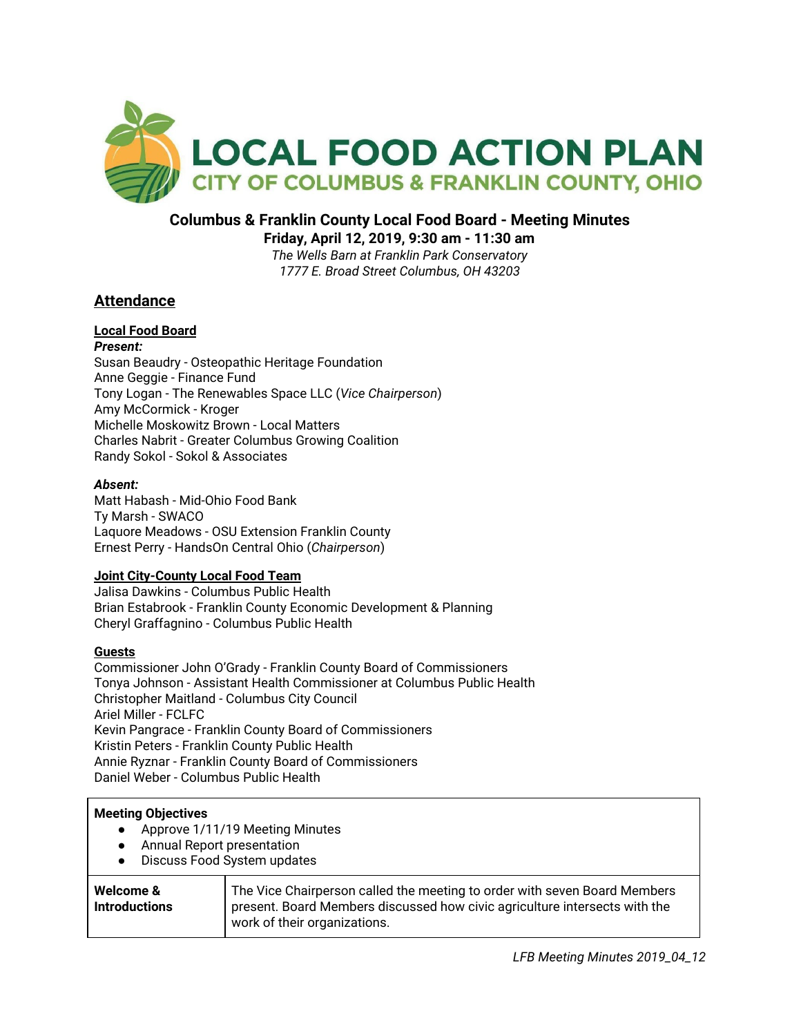

# **Columbus & Franklin County Local Food Board - Meeting Minutes**

**Friday, April 12, 2019, 9:30 am - 11:30 am**

*The Wells Barn at Franklin Park Conservatory 1777 E. Broad Street Columbus, OH 43203*

# **Attendance**

#### **Local Food Board** *Present:*

Susan Beaudry - Osteopathic Heritage Foundation Anne Geggie - Finance Fund Tony Logan - The Renewables Space LLC (*Vice Chairperson*) Amy McCormick - Kroger Michelle Moskowitz Brown - Local Matters Charles Nabrit - Greater Columbus Growing Coalition Randy Sokol - Sokol & Associates

### *Absent:*

Matt Habash - Mid-Ohio Food Bank Ty Marsh - SWACO Laquore Meadows - OSU Extension Franklin County Ernest Perry - HandsOn Central Ohio (*Chairperson*)

### **Joint City-County Local Food Team**

Jalisa Dawkins - Columbus Public Health Brian Estabrook - Franklin County Economic Development & Planning Cheryl Graffagnino - Columbus Public Health

### **Guests**

Commissioner John O'Grady - Franklin County Board of Commissioners Tonya Johnson - Assistant Health Commissioner at Columbus Public Health Christopher Maitland - Columbus City Council Ariel Miller - FCLFC Kevin Pangrace - Franklin County Board of Commissioners Kristin Peters - Franklin County Public Health Annie Ryznar - Franklin County Board of Commissioners Daniel Weber - Columbus Public Health

# **Meeting Objectives**

- Approve 1/11/19 Meeting Minutes
- Annual Report presentation
- Discuss Food System updates

| Welcome &<br><b>Introductions</b> | The Vice Chairperson called the meeting to order with seven Board Members<br>present. Board Members discussed how civic agriculture intersects with the<br>work of their organizations. |
|-----------------------------------|-----------------------------------------------------------------------------------------------------------------------------------------------------------------------------------------|
|-----------------------------------|-----------------------------------------------------------------------------------------------------------------------------------------------------------------------------------------|